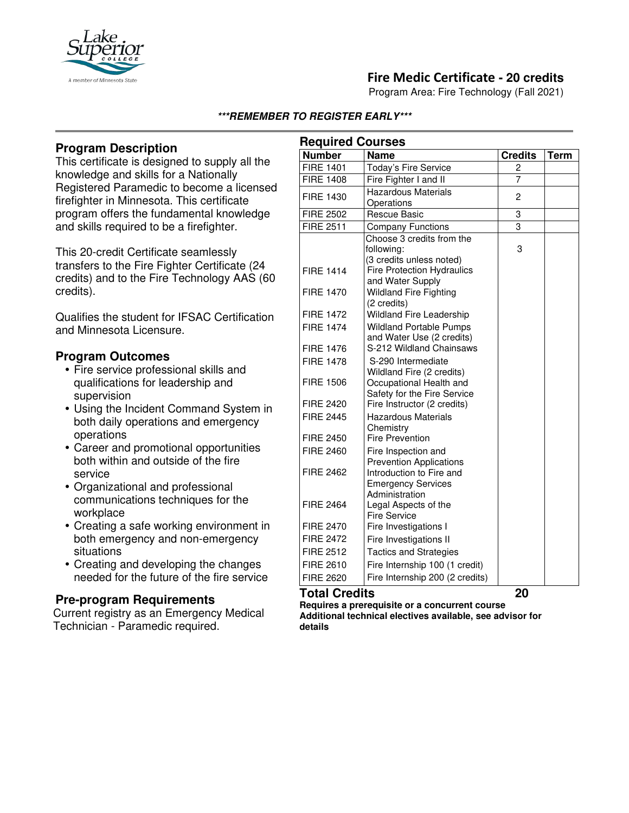

# **Fire Medic Certificate - 20 credits**

Program Area: Fire Technology (Fall 2021)

#### **\*\*\*REMEMBER TO REGISTER EARLY\*\*\***

## **Program Description**

This certificate is designed to supply all the knowledge and skills for a Nationally Registered Paramedic to become a licensed firefighter in Minnesota. This certificate program offers the fundamental knowledge and skills required to be a firefighter.

This 20-credit Certificate seamlessly transfers to the Fire Fighter Certificate (24 credits) and to the Fire Technology AAS (60 credits).

Qualifies the student for IFSAC Certification and Minnesota Licensure.

#### **Program Outcomes**

- Fire service professional skills and qualifications for leadership and supervision
- Using the Incident Command System in both daily operations and emergency operations
- Career and promotional opportunities both within and outside of the fire service
- Organizational and professional communications techniques for the workplace
- Creating a safe working environment in both emergency and non-emergency situations
- Creating and developing the changes needed for the future of the fire service

### **Pre-program Requirements**

Current registry as an Emergency Medical Technician - Paramedic required.

| <b>Required Courses</b> |                                                               |                |             |
|-------------------------|---------------------------------------------------------------|----------------|-------------|
| <b>Number</b>           | <b>Name</b>                                                   | <b>Credits</b> | <b>Term</b> |
| <b>FIRE 1401</b>        | Today's Fire Service                                          | 2              |             |
| <b>FIRE 1408</b>        | Fire Fighter I and II                                         | $\overline{7}$ |             |
| <b>FIRE 1430</b>        | <b>Hazardous Materials</b>                                    | 2              |             |
|                         | Operations                                                    |                |             |
| <b>FIRE 2502</b>        | <b>Rescue Basic</b>                                           | 3              |             |
| <b>FIRE 2511</b>        | <b>Company Functions</b>                                      | 3              |             |
|                         | Choose 3 credits from the                                     |                |             |
|                         | following:                                                    | 3              |             |
| <b>FIRE 1414</b>        | (3 credits unless noted)<br><b>Fire Protection Hydraulics</b> |                |             |
|                         | and Water Supply                                              |                |             |
| <b>FIRE 1470</b>        | <b>Wildland Fire Fighting</b>                                 |                |             |
|                         | (2 credits)                                                   |                |             |
| <b>FIRE 1472</b>        | <b>Wildland Fire Leadership</b>                               |                |             |
| <b>FIRE 1474</b>        | <b>Wildland Portable Pumps</b>                                |                |             |
|                         | and Water Use (2 credits)                                     |                |             |
| <b>FIRE 1476</b>        | S-212 Wildland Chainsaws                                      |                |             |
| <b>FIRE 1478</b>        | S-290 Intermediate                                            |                |             |
|                         | Wildland Fire (2 credits)                                     |                |             |
| <b>FIRE 1506</b>        | Occupational Health and                                       |                |             |
| <b>FIRE 2420</b>        | Safety for the Fire Service                                   |                |             |
|                         | Fire Instructor (2 credits)                                   |                |             |
| <b>FIRE 2445</b>        | <b>Hazardous Materials</b><br>Chemistry                       |                |             |
| <b>FIRE 2450</b>        | <b>Fire Prevention</b>                                        |                |             |
| <b>FIRE 2460</b>        | Fire Inspection and                                           |                |             |
|                         | <b>Prevention Applications</b>                                |                |             |
| <b>FIRE 2462</b>        | Introduction to Fire and                                      |                |             |
|                         | <b>Emergency Services</b>                                     |                |             |
|                         | Administration                                                |                |             |
| <b>FIRE 2464</b>        | Legal Aspects of the                                          |                |             |
|                         | <b>Fire Service</b>                                           |                |             |
| <b>FIRE 2470</b>        | Fire Investigations I                                         |                |             |
| <b>FIRE 2472</b>        | Fire Investigations II                                        |                |             |
| <b>FIRE 2512</b>        | <b>Tactics and Strategies</b>                                 |                |             |
| <b>FIRE 2610</b>        | Fire Internship 100 (1 credit)                                |                |             |
| <b>FIRE 2620</b>        | Fire Internship 200 (2 credits)                               |                |             |

### **Total Credits 20**

**Requires a prerequisite or a concurrent course Additional technical electives available, see advisor for details**